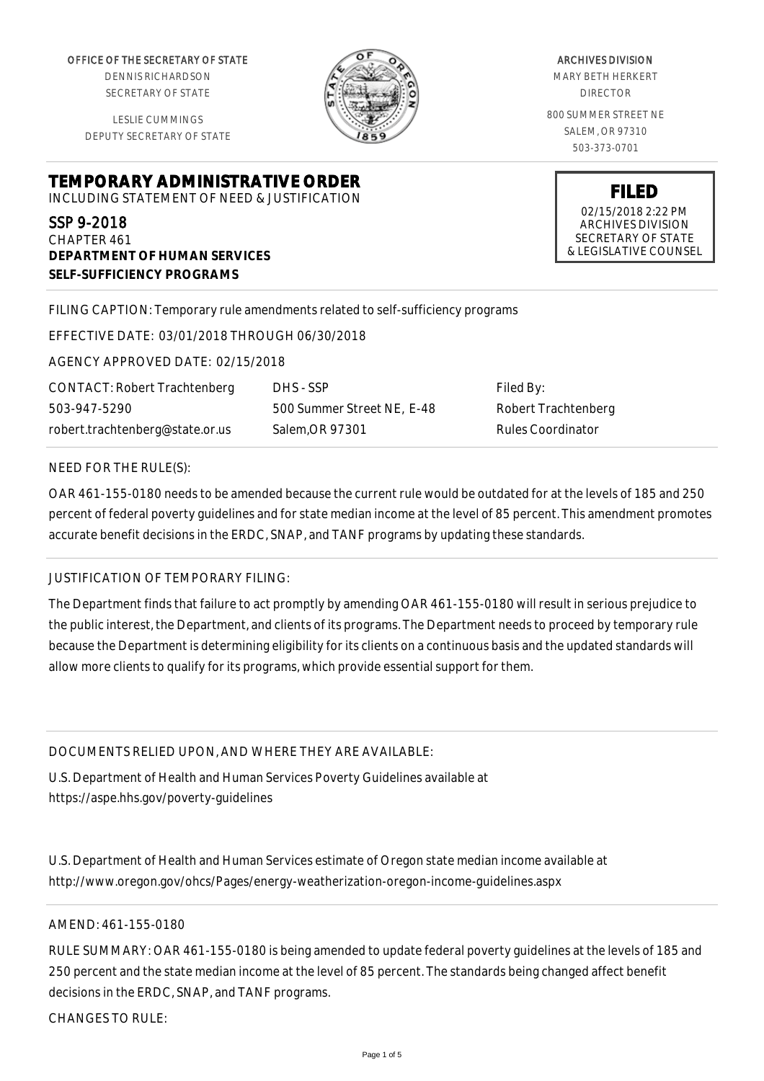OFFICE OF THE SECRETARY OF STATE

DENNIS RICHARDSON SECRETARY OF STATE

LESLIE CUMMINGS DEPUTY SECRETARY OF STATE

### **TEMPORARY ADMINISTRATIVE ORDER** INCLUDING STATEMENT OF NEED & JUSTIFICATION

SSP 9-2018 CHAPTER 461

**DEPARTMENT OF HUMAN SERVICES SELF-SUFFICIENCY PROGRAMS**

FILING CAPTION: Temporary rule amendments related to self-sufficiency programs

EFFECTIVE DATE: 03/01/2018 THROUGH 06/30/2018

AGENCY APPROVED DATE: 02/15/2018

CONTACT: Robert Trachtenberg 503-947-5290 robert.trachtenberg@state.or.us

DHS - SSP 500 Summer Street NE, E-48 Salem,OR 97301

Filed By: Robert Trachtenberg Rules Coordinator

### NEED FOR THE RULE(S):

OAR 461-155-0180 needs to be amended because the current rule would be outdated for at the levels of 185 and 250 percent of federal poverty guidelines and for state median income at the level of 85 percent. This amendment promotes accurate benefit decisions in the ERDC, SNAP, and TANF programs by updating these standards.

## JUSTIFICATION OF TEMPORARY FILING:

The Department finds that failure to act promptly by amending OAR 461-155-0180 will result in serious prejudice to the public interest, the Department, and clients of its programs. The Department needs to proceed by temporary rule because the Department is determining eligibility for its clients on a continuous basis and the updated standards will allow more clients to qualify for its programs, which provide essential support for them.

## DOCUMENTS RELIED UPON, AND WHERE THEY ARE AVAILABLE:

U.S. Department of Health and Human Services Poverty Guidelines available at https://aspe.hhs.gov/poverty-guidelines

U.S. Department of Health and Human Services estimate of Oregon state median income available at http://www.oregon.gov/ohcs/Pages/energy-weatherization-oregon-income-guidelines.aspx

# AMEND: 461-155-0180

RULE SUMMARY: OAR 461-155-0180 is being amended to update federal poverty guidelines at the levels of 185 and 250 percent and the state median income at the level of 85 percent. The standards being changed affect benefit decisions in the ERDC, SNAP, and TANF programs.

CHANGES TO RULE:



#### ARCHIVES DIVISION MARY BETH HERKERT DIRECTOR

800 SUMMER STREET NE SALEM, OR 97310 503-373-0701

> **FILED** 02/15/2018 2:22 PM ARCHIVES DIVISION SECRETARY OF STATE & LEGISLATIVE COUNSEL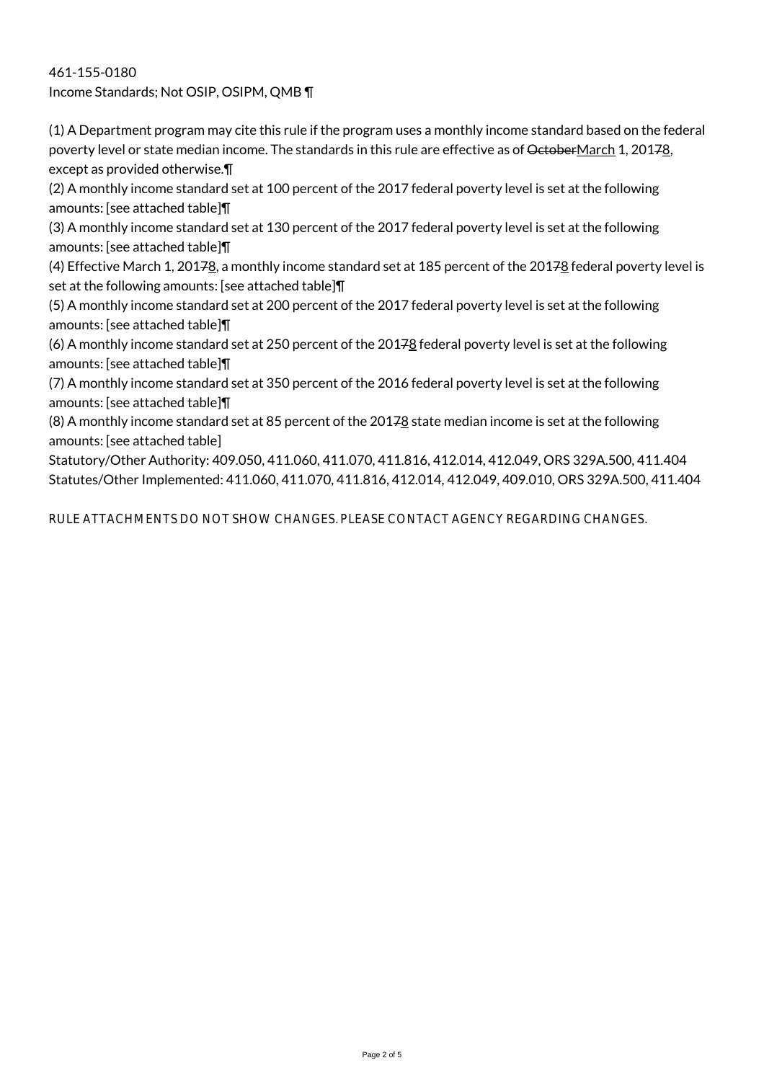461-155-0180 Income Standards; Not OSIP, OSIPM, QMB ¶

(1) A Department program may cite this rule if the program uses a monthly income standard based on the federal poverty level or state median income. The standards in this rule are effective as of OctoberMarch 1, 20178, except as provided otherwise.¶

(2) A monthly income standard set at 100 percent of the 2017 federal poverty level is set at the following amounts: [see attached table]¶

(3) A monthly income standard set at 130 percent of the 2017 federal poverty level is set at the following amounts: [see attached table]¶

(4) Effective March 1, 20178, a monthly income standard set at 185 percent of the 20178 federal poverty level is set at the following amounts: [see attached table]¶

(5) A monthly income standard set at 200 percent of the 2017 federal poverty level is set at the following amounts: [see attached table]¶

(6) A monthly income standard set at 250 percent of the 20178 federal poverty level is set at the following amounts: [see attached table]¶

(7) A monthly income standard set at 350 percent of the 2016 federal poverty level is set at the following amounts: [see attached table]¶

(8) A monthly income standard set at 85 percent of the 20178 state median income is set at the following amounts: [see attached table]

Statutory/Other Authority: 409.050, 411.060, 411.070, 411.816, 412.014, 412.049, ORS 329A.500, 411.404 Statutes/Other Implemented: 411.060, 411.070, 411.816, 412.014, 412.049, 409.010, ORS 329A.500, 411.404

RULE ATTACHMENTS DO NOT SHOW CHANGES. PLEASE CONTACT AGENCY REGARDING CHANGES.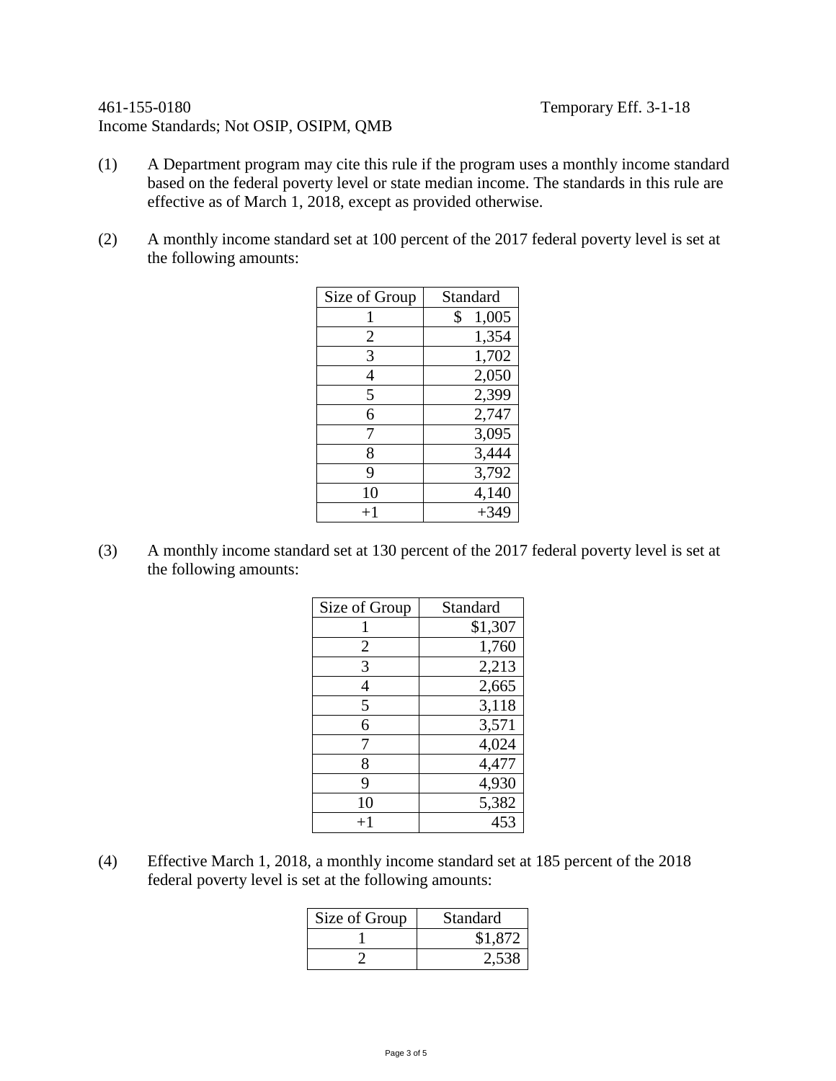# 461-155-0180 Temporary Eff. 3-1-18 Income Standards; Not OSIP, OSIPM, QMB

- (1) A Department program may cite this rule if the program uses a monthly income standard based on the federal poverty level or state median income. The standards in this rule are effective as of March 1, 2018, except as provided otherwise.
- (2) A monthly income standard set at 100 percent of the 2017 federal poverty level is set at the following amounts:

| Size of Group | Standard    |
|---------------|-------------|
| 1             | \$<br>1,005 |
| 2             | 1,354       |
| 3             | 1,702       |
| 4             | 2,050       |
| 5             | 2,399       |
| 6             | 2,747       |
| 7             | 3,095       |
| 8             | 3,444       |
| 9             | 3,792       |
| 10            | 4,140       |
| $+1$          | $+349$      |

(3) A monthly income standard set at 130 percent of the 2017 federal poverty level is set at the following amounts:

| Size of Group | Standard |
|---------------|----------|
|               | \$1,307  |
| 2             | 1,760    |
| 3             | 2,213    |
| 4             | 2,665    |
| 5             | 3,118    |
| 6             | 3,571    |
| 7             | 4,024    |
| 8             | 4,477    |
| 9             | 4,930    |
| 10            | 5,382    |
| $+1$          | 453      |

(4) Effective March 1, 2018, a monthly income standard set at 185 percent of the 2018 federal poverty level is set at the following amounts:

| Size of Group | Standard |
|---------------|----------|
|               | \$1,872  |
|               | 2,538    |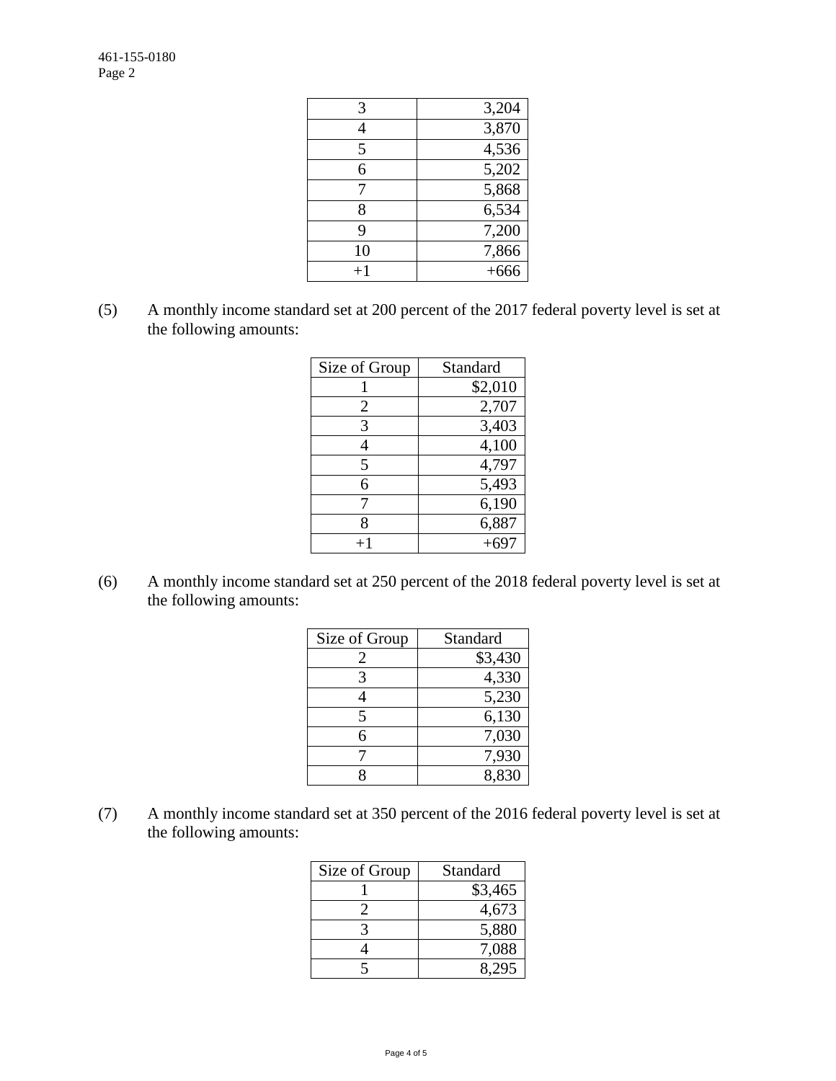| 3,204  |
|--------|
| 3,870  |
| 4,536  |
| 5,202  |
| 5,868  |
| 6,534  |
| 7,200  |
| 7,866  |
| $+666$ |
|        |

(5) A monthly income standard set at 200 percent of the 2017 federal poverty level is set at the following amounts:

| Size of Group | Standard |
|---------------|----------|
|               | \$2,010  |
| 2             | 2,707    |
| 3             | 3,403    |
|               | 4,100    |
| 5             | 4,797    |
| 6             | 5,493    |
|               | 6,190    |
| 8             | 6,887    |
|               | $+697$   |

(6) A monthly income standard set at 250 percent of the 2018 federal poverty level is set at the following amounts:

| Size of Group | Standard |
|---------------|----------|
| 2             | \$3,430  |
| 3             | 4,330    |
| 4             | 5,230    |
| 5             | 6,130    |
| 6             | 7,030    |
|               | 7,930    |
|               | 8,830    |

(7) A monthly income standard set at 350 percent of the 2016 federal poverty level is set at the following amounts:

| Size of Group | Standard |
|---------------|----------|
|               | \$3,465  |
|               | 4,673    |
|               | 5,880    |
|               | 7,088    |
|               | 295      |